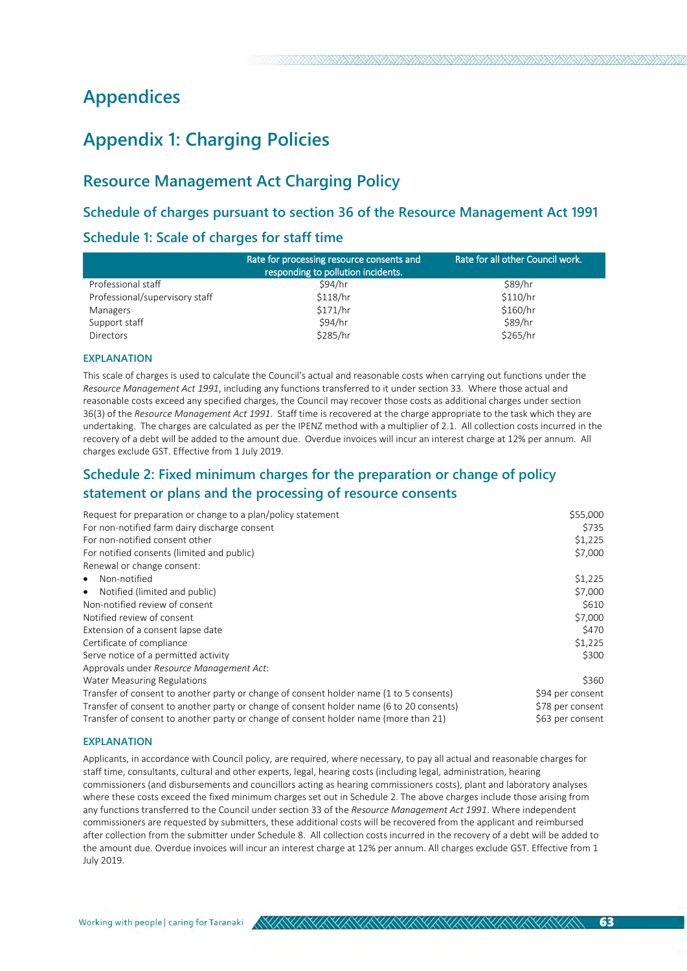# **Appendices**

# **Appendix 1: Charging Policies**

# **Resource Management Act Charging Policy**

# **Schedule of charges pursuant to section 36 of the Resource Management Act 1991**

### **Schedule 1: Scale of charges for staff time**

|                                | Rate for processing resource consents and<br>responding to pollution incidents. | Rate for all other Council work. |
|--------------------------------|---------------------------------------------------------------------------------|----------------------------------|
| Professional staff             | \$94/hr                                                                         | \$89/hr                          |
| Professional/supervisory staff | \$118/hr                                                                        | \$110/hr                         |
| Managers                       | \$171/hr                                                                        | \$160/hr                         |
| Support staff                  | \$94/hr                                                                         | \$89/hr                          |
| <b>Directors</b>               | \$285/hr                                                                        | \$265/hr                         |

#### **EXPLANATION**

This scale of charges is used to calculate the Council's actual and reasonable costs when carrying out functions under the *Resource Management Act 1991*, including any functions transferred to it under section 33. Where those actual and reasonable costs exceed any specified charges, the Council may recover those costs as additional charges under section 36(3) of the *Resource Management Act 1991*. Staff time is recovered at the charge appropriate to the task which they are undertaking. The charges are calculated as per the IPENZ method with a multiplier of 2.1. All collection costs incurred in the recovery of a debt will be added to the amount due. Overdue invoices will incur an interest charge at 12% per annum. All charges exclude GST. Effective from 1 July 2019.

# **Schedule 2: Fixed minimum charges for the preparation or change of policy statement or plans and the processing of resource consents**

| Request for preparation or change to a plan/policy statement                             | \$55,000         |
|------------------------------------------------------------------------------------------|------------------|
| For non-notified farm dairy discharge consent                                            | \$735            |
| For non-notified consent other                                                           | \$1,225          |
| For notified consents (limited and public)                                               | \$7,000          |
| Renewal or change consent:                                                               |                  |
| Non-notified<br>$\bullet$                                                                | \$1,225          |
| Notified (limited and public)<br>$\bullet$                                               | \$7,000          |
| Non-notified review of consent                                                           | \$610            |
| Notified review of consent                                                               | \$7,000          |
| Extension of a consent lapse date                                                        | \$470            |
| Certificate of compliance                                                                | \$1,225          |
| Serve notice of a permitted activity                                                     | \$300            |
| Approvals under Resource Management Act:                                                 |                  |
| Water Measuring Regulations                                                              | \$360            |
| Transfer of consent to another party or change of consent holder name (1 to 5 consents)  | \$94 per consent |
| Transfer of consent to another party or change of consent holder name (6 to 20 consents) | \$78 per consent |
| Transfer of consent to another party or change of consent holder name (more than 21)     | \$63 per consent |

#### **EXPLANATION**

Applicants, in accordance with Council policy, are required, where necessary, to pay all actual and reasonable charges for staff time, consultants, cultural and other experts, legal, hearing costs (including legal, administration, hearing commissioners (and disbursements and councillors acting as hearing commissioners costs), plant and laboratory analyses where these costs exceed the fixed minimum charges set out in Schedule 2. The above charges include those arising from any functions transferred to the Council under section 33 of the *Resource Management Act 1991*. Where independent commissioners are requested by submitters, these additional costs will be recovered from the applicant and reimbursed after collection from the submitter under Schedule 8. All collection costs incurred in the recovery of a debt will be added to the amount due. Overdue invoices will incur an interest charge at 12% per annum. All charges exclude GST. Effective from 1 July 2019.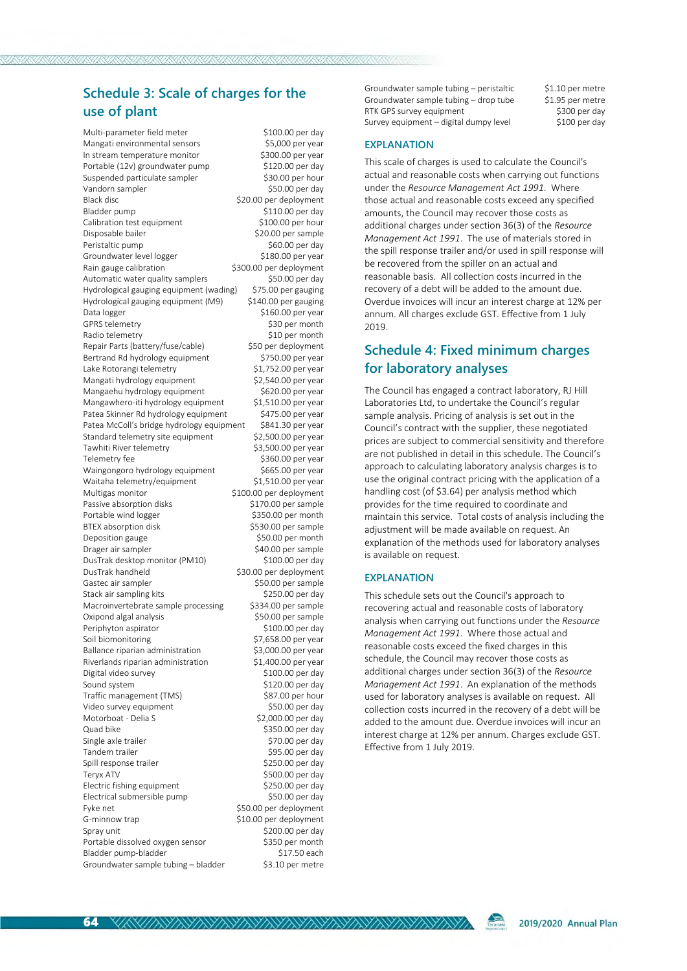# **Schedule 3: Scale of charges for the use of plant**

Multi-parameter field meter \$100.00 per day Mangati environmental sensors 
(\$5,000 per year In stream temperature monitor \$300.00 per year Portable (12v) groundwater pump \$120.00 per day Suspended particulate sampler \$30.00 per hour Vandorn sampler  $\sim$  \$50.00 per day Black disc 600 per deployment Bladder nump \$110.00 per day Calibration test equipment \$100.00 per hour Disposable bailer \$20.00 per sample Peristaltic pump  $$60.00$  per day<br>Groundwater level logger  $$180.00$  per year Groundwater level logger Rain gauge calibration \$300.00 per deployment Automatic water quality samplers \$50.00 per day Hydrological gauging equipment (wading) \$75.00 per gauging Hydrological gauging equipment (M9) \$140.00 per gauging Data logger  $$160.00$  per year GPRS telemetry \$30 per month Radio telemetry \$10 per month<br>Repair Parts (battery/fuse/cable) \$50 per deployment Repair Parts (battery/fuse/cable) Bertrand Rd hydrology equipment \$750.00 per year Lake Rotorangi telemetry \$1,752.00 per year Mangati hydrology equipment  $\frac{$2,540.00 \text{ per year}}{32,540.00 \text{ per year}}$ Mangaehu hydrology equipment \$620.00 per year<br>Mangawhero-iti hydrology equipment \$1,510.00 per year Mangawhero-iti hydrology equipment \$1,510.00 per year Patea Skinner Rd hydrology equipment \$475.00 per year<br>Patea McColl's bridge hydrology equipment \$841.30 per year Patea McColl's bridge hydrology equipment \$841.30 per year<br>Standard telemetry site equipment \$2,500.00 per year Standard telemetry site equipment Tawhiti River telemetry \$3,500.00 per year Telemetry fee  $$360.00$  per year Waingongoro hydrology equipment \$665.00 per year Waitaha telemetry/equipment \$1,510.00 per year Multigas monitor  $$100.00$  per deployment Passive absorption disks \$170.00 per sample Portable wind logger \$350.00 per month BTEX absorption disk \$530.00 per sample Deposition gauge between the state of \$50.00 per month Drager air sampler \$40.00 per sample<br>
DusTrak desktop monitor (PM10) \$100.00 per day DusTrak desktop monitor (PM10) DusTrak handheld \$30.00 per deployment Gastec air sampler \$50.00 per sample Stack air sampling kits \$250.00 per day Macroinvertebrate sample processing \$334.00 per sample Oxipond algal analysis \$50.00 per sample Periphyton aspirator  $$100.00$  per day Soil biomonitoring  $$7,658.00$  per year Ballance riparian administration \$3,000.00 per year Riverlands riparian administration \$1,400.00 per year Digital video survey by the state of the S100.00 per day Sound system \$120.00 per day Traffic management (TMS) \$87.00 per hour Video survey equipment \$50.00 per day Motorboat - Delia S<br>\$2,000.00 per day Quad bike \$350.00 per day Single axle trailer  $$70.00$  per day Tandem trailer \$95.00 per day Spill response trailer \$250.00 per day Tervx ATV  $\sim$  5500.00 per day Electric fishing equipment<br>
Electrical submersible pump<br>
\$50.00 per day Electrical submersible pump Fyke net  $$50.00$  per deployment<br>G-minnow trap 6510.00 per deployment \$10.00 per deployment Spray unit<br>Portable dissolved oxygen sensor<br>\$350 per month Portable dissolved oxygen sensor \$350 per month Bladder pump-bladder Groundwater sample tubing – bladder \$3.10 per metre

Groundwater sample tubing – peristaltic  $$1.10$  per metre Groundwater sample tubing – drop tube \$1.95 per metre<br>RTK GPS survey equipment \$300 per day RTK GPS survey equipment<br>Survey equipment – digital dumpy level \$100 per day Survey equipment – digital dumpy level

#### **EXPLANATION**

This scale of charges is used to calculate the Council's actual and reasonable costs when carrying out functions under the *Resource Management Act 1991*. Where those actual and reasonable costs exceed any specified amounts, the Council may recover those costs as additional charges under section 36(3) of the *Resource Management Act 1991*. The use of materials stored in the spill response trailer and/or used in spill response will be recovered from the spiller on an actual and reasonable basis. All collection costs incurred in the recovery of a debt will be added to the amount due. Overdue invoices will incur an interest charge at 12% per annum. All charges exclude GST. Effective from 1 July 2019.

# **Schedule 4: Fixed minimum charges for laboratory analyses**

The Council has engaged a contract laboratory, RJ Hill Laboratories Ltd, to undertake the Council's regular sample analysis. Pricing of analysis is set out in the Council's contract with the supplier, these negotiated prices are subject to commercial sensitivity and therefore are not published in detail in this schedule. The Council's approach to calculating laboratory analysis charges is to use the original contract pricing with the application of a handling cost (of \$3.64) per analysis method which provides for the time required to coordinate and maintain this service. Total costs of analysis including the adjustment will be made available on request. An explanation of the methods used for laboratory analyses is available on request.

#### **EXPLANATION**

<u>VENIMYMYNYNYMYNYMYMYMYMYMYMYMYMYMYMYMY</u>

This schedule sets out the Council's approach to recovering actual and reasonable costs of laboratory analysis when carrying out functions under the *Resource Management Act 1991*. Where those actual and reasonable costs exceed the fixed charges in this schedule, the Council may recover those costs as additional charges under section 36(3) of the *Resource Management Act 1991*. An explanation of the methods used for laboratory analyses is available on request. All collection costs incurred in the recovery of a debt will be added to the amount due. Overdue invoices will incur an interest charge at 12% per annum. Charges exclude GST. Effective from 1 July 2019.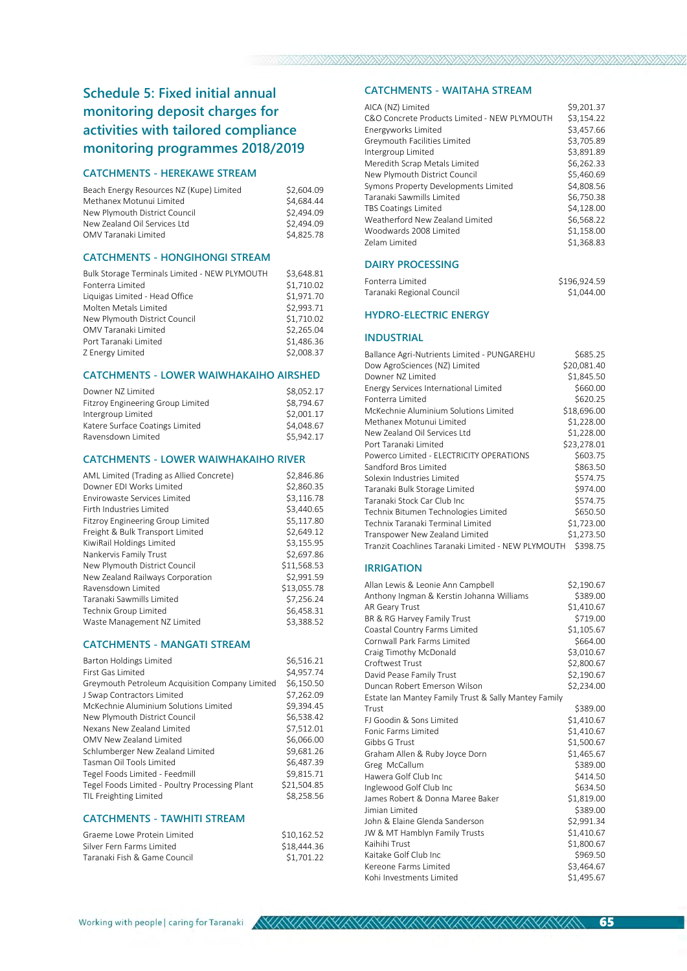# **Schedule 5: Fixed initial annual monitoring deposit charges for activities with tailored compliance monitoring programmes 2018/2019**

#### **CATCHMENTS - HEREKAWE STREAM**

| Beach Energy Resources NZ (Kupe) Limited | \$2,604.09 |
|------------------------------------------|------------|
| Methanex Motunui Limited                 | \$4.684.44 |
| New Plymouth District Council            | \$2.494.09 |
| New Zealand Oil Services Ltd             | \$2.494.09 |
| OMV Taranaki Limited                     | \$4.825.78 |
|                                          |            |

#### **CATCHMENTS - HONGIHONGI STREAM**

| Bulk Storage Terminals Limited - NEW PLYMOUTH | \$3.648.81 |
|-----------------------------------------------|------------|
| Fonterra Limited                              | \$1,710.02 |
| Liquigas Limited - Head Office                | \$1.971.70 |
| Molten Metals Limited                         | \$2.993.71 |
| New Plymouth District Council                 | \$1,710.02 |
| OMV Taranaki Limited                          | \$2,265.04 |
| Port Taranaki Limited                         | \$1.486.36 |
| Z Energy Limited                              | \$2,008.37 |

#### **CATCHMENTS - LOWER WAIWHAKAIHO AIRSHED**

| \$8.052.17 |
|------------|
| \$8,794.67 |
| \$2,001.17 |
| \$4,048.67 |
| \$5,942.17 |
|            |

#### **CATCHMENTS - LOWER WAIWHAKAIHO RIVER**

| AML Limited (Trading as Allied Concrete) | \$2,846.86  |
|------------------------------------------|-------------|
| Downer EDI Works Limited                 | \$2.860.35  |
| <b>Fnvirowaste Services Limited</b>      | \$3.116.78  |
| Firth Industries Limited                 | \$3.440.65  |
| Fitzroy Engineering Group Limited        | \$5.117.80  |
| Freight & Bulk Transport Limited         | \$2.649.12  |
| KiwiRail Holdings Limited                | \$3.155.95  |
| Nankervis Family Trust                   | \$2.697.86  |
| New Plymouth District Council            | \$11.568.53 |
| New Zealand Railways Corporation         | \$2.991.59  |
| Ravensdown Limited                       | \$13,055.78 |
| Taranaki Sawmills Limited                | \$7,256.24  |
| Technix Group Limited                    | \$6,458.31  |
| Waste Management NZ Limited              | \$3.388.52  |
|                                          |             |

#### **CATCHMENTS - MANGATI STREAM**

| <b>Barton Holdings Limited</b>                  | \$6,516.21  |
|-------------------------------------------------|-------------|
| First Gas Limited                               | \$4,957.74  |
| Greymouth Petroleum Acquisition Company Limited | \$6,150.50  |
| J Swap Contractors Limited                      | \$7,262.09  |
| McKechnie Aluminium Solutions Limited           | \$9.394.45  |
| New Plymouth District Council                   | \$6.538.42  |
| Nexans New Zealand Limited                      | \$7,512.01  |
| OMV New Zealand Limited                         | \$6.066.00  |
| Schlumberger New Zealand Limited                | \$9.681.26  |
| Tasman Oil Tools Limited                        | \$6,487.39  |
| Tegel Foods Limited - Feedmill                  | \$9,815.71  |
| Tegel Foods Limited - Poultry Processing Plant  | \$21.504.85 |
| TIL Freighting Limited                          | \$8.258.56  |
|                                                 |             |

#### **CATCHMENTS - TAWHITI STREAM**

| Graeme Lowe Protein Limited  | \$10.162.52 |
|------------------------------|-------------|
| Silver Fern Farms Limited    | \$18.444.36 |
| Taranaki Fish & Game Council | \$1.701.22  |

#### **CATCHMENTS - WAITAHA STREAM**

| AICA (NZ) Limited                            | \$9.201.37 |
|----------------------------------------------|------------|
| C&O Concrete Products Limited - NEW PLYMOUTH | \$3,154.22 |
| Energyworks Limited                          | \$3.457.66 |
| Greymouth Facilities Limited                 | \$3,705.89 |
| Intergroup Limited                           | \$3.891.89 |
| Meredith Scrap Metals Limited                | \$6,262.33 |
| New Plymouth District Council                | \$5.460.69 |
| Symons Property Developments Limited         | \$4,808.56 |
| Taranaki Sawmills Limited                    | \$6,750.38 |
| <b>TBS Coatings Limited</b>                  | \$4.128.00 |
| Weatherford New Zealand Limited              | \$6.568.22 |
| Woodwards 2008 Limited                       | \$1,158.00 |
| <b>Zelam Limited</b>                         | \$1.368.83 |
|                                              |            |

#### **DAIRY PROCESSING**

| Fonterra Limited          | \$196.924.59 |
|---------------------------|--------------|
| Taranaki Regional Council | \$1.044.00   |

#### **HYDRO-ELECTRIC ENERGY**

#### **INDUSTRIAL**

| Ballance Agri-Nutrients Limited - PUNGAREHU        | \$685.25    |
|----------------------------------------------------|-------------|
| Dow AgroSciences (NZ) Limited                      | \$20.081.40 |
| Downer N7 Limited                                  | \$1,845.50  |
| Energy Services International Limited              | \$660.00    |
| Fonterra Limited                                   | \$620.25    |
| McKechnie Aluminium Solutions Limited              | \$18,696.00 |
| Methanex Motunui Limited                           | \$1,228.00  |
| New Zealand Oil Services Ltd                       | \$1,228.00  |
| Port Taranaki Limited                              | \$23,278.01 |
| Powerco Limited - ELECTRICITY OPERATIONS           | \$603.75    |
| Sandford Bros Limited                              | \$863.50    |
| Solexin Industries Limited                         | \$574.75    |
| Taranaki Bulk Storage Limited                      | \$974.00    |
| Taranaki Stock Car Club Inc.                       | \$574.75    |
| Technix Bitumen Technologies Limited               | \$650.50    |
| Technix Taranaki Terminal Limited                  | \$1.723.00  |
| Transpower New Zealand Limited                     | \$1,273.50  |
| Tranzit Coachlines Taranaki Limited - NEW PLYMOUTH | \$398.75    |

#### **IRRIGATION**

| Allan Lewis & Leonie Ann Campbell                    | \$2,190.67 |
|------------------------------------------------------|------------|
| Anthony Ingman & Kerstin Johanna Williams            | \$389.00   |
| AR Geary Trust                                       | \$1,410.67 |
| BR & RG Harvey Family Trust                          | \$719.00   |
| Coastal Country Farms Limited                        | \$1,105.67 |
| Cornwall Park Farms Limited                          | \$664.00   |
| Craig Timothy McDonald                               | \$3,010.67 |
| Croftwest Trust                                      | \$2,800.67 |
| David Pease Family Trust                             | \$2,190.67 |
| Duncan Robert Emerson Wilson                         | \$2,234.00 |
| Estate Ian Mantey Family Trust & Sally Mantey Family |            |
| Trust                                                | \$389.00   |
| EJ Goodin & Sons Limited                             | \$1,410.67 |
| Fonic Farms Limited                                  | \$1,410.67 |
| Gibbs G Trust                                        | \$1,500.67 |
| Graham Allen & Ruby Joyce Dorn                       | \$1,465.67 |
| Greg McCallum                                        | \$389.00   |
| Hawera Golf Club Inc                                 | \$414.50   |
| Inglewood Golf Club Inc                              | \$634.50   |
| James Robert & Donna Maree Baker                     | \$1,819.00 |
| Jimian Limited                                       | \$389.00   |
| John & Elaine Glenda Sanderson                       | \$2,991.34 |
| JW & MT Hamblyn Family Trusts                        | \$1,410.67 |
| Kaihihi Trust                                        | \$1,800.67 |
| Kaitake Golf Club Inc                                | \$969.50   |
| Kereone Farms Limited                                | \$3,464.67 |
| Kohi Investments Limited                             | \$1,495.67 |

65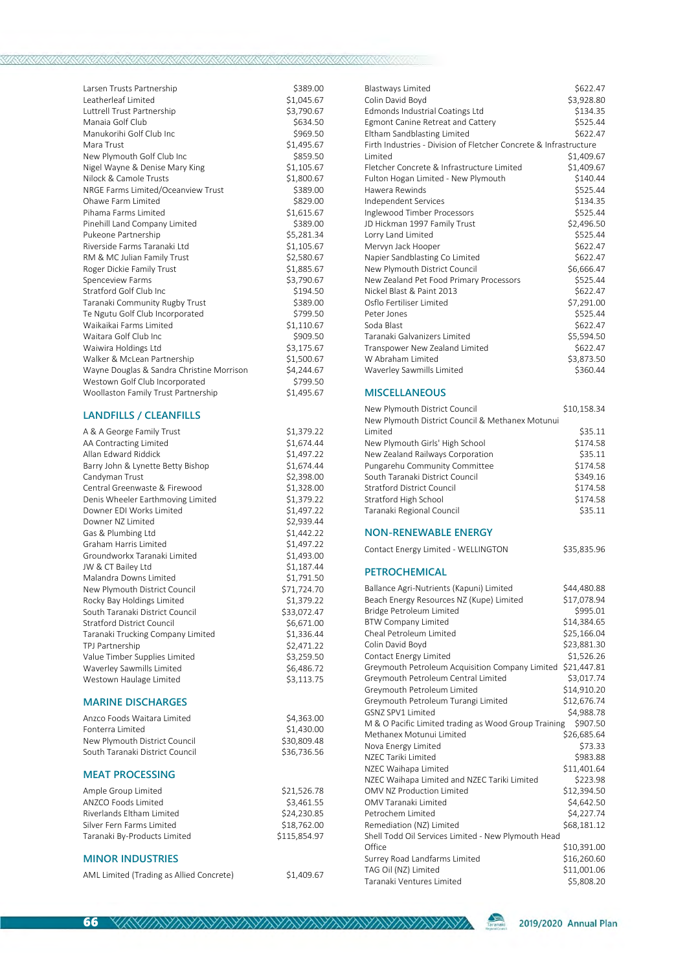| Larsen Trusts Partnership<br>Leatherleaf Limited<br>Luttrell Trust Partnership<br>Manaia Golf Club<br>Manukorihi Golf Club Inc<br>Mara Trust<br>New Plymouth Golf Club Inc<br>Nigel Wayne & Denise Mary King<br>Nilock & Camole Trusts<br>NRGE Farms Limited/Oceanview Trust<br>Ohawe Farm Limited<br>Pihama Farms Limited<br>Pinehill Land Company Limited<br>Pukeone Partnership<br>Riverside Farms Taranaki I td<br>RM & MC Julian Family Trust | \$389.00<br>\$1,045.67<br>\$3,790.67<br>\$634.50<br>\$969.50<br>\$1,495.67<br>\$859.50<br>\$1,105.67<br>\$1,800.67<br>\$389.00<br>\$829.00<br>\$1,615.67<br>\$389.00<br>\$5,281.34<br>\$1,105.67<br>\$2,580.67 |
|----------------------------------------------------------------------------------------------------------------------------------------------------------------------------------------------------------------------------------------------------------------------------------------------------------------------------------------------------------------------------------------------------------------------------------------------------|----------------------------------------------------------------------------------------------------------------------------------------------------------------------------------------------------------------|
| <b>Spenceview Farms</b>                                                                                                                                                                                                                                                                                                                                                                                                                            | \$3,790.67                                                                                                                                                                                                     |
| Stratford Golf Club Inc                                                                                                                                                                                                                                                                                                                                                                                                                            | \$194.50                                                                                                                                                                                                       |
| Taranaki Community Rugby Trust                                                                                                                                                                                                                                                                                                                                                                                                                     | \$389.00                                                                                                                                                                                                       |
| Te Ngutu Golf Club Incorporated                                                                                                                                                                                                                                                                                                                                                                                                                    | \$799.50                                                                                                                                                                                                       |
| Waikaikai Farms Limited<br>Waitara Golf Club Inc                                                                                                                                                                                                                                                                                                                                                                                                   | \$1,110.67                                                                                                                                                                                                     |
|                                                                                                                                                                                                                                                                                                                                                                                                                                                    | \$909.50                                                                                                                                                                                                       |
| Waiwira Holdings Ltd                                                                                                                                                                                                                                                                                                                                                                                                                               | \$3,175.67                                                                                                                                                                                                     |
| Walker & McLean Partnership                                                                                                                                                                                                                                                                                                                                                                                                                        | \$1,500.67                                                                                                                                                                                                     |
| Wayne Douglas & Sandra Christine Morrison                                                                                                                                                                                                                                                                                                                                                                                                          | \$4,244.67                                                                                                                                                                                                     |
| Westown Golf Club Incorporated                                                                                                                                                                                                                                                                                                                                                                                                                     | \$799.50                                                                                                                                                                                                       |
| Woollaston Family Trust Partnership                                                                                                                                                                                                                                                                                                                                                                                                                | \$1,495.67                                                                                                                                                                                                     |

### **LANDFILLS / CLEANFILLS**

| A & A George Family Trust         | \$1,379.22   |
|-----------------------------------|--------------|
| AA Contracting Limited            | \$1,674.44   |
| Allan Edward Riddick              | \$1,497.22   |
| Barry John & Lynette Betty Bishop | \$1,674.44   |
| Candyman Trust                    | \$2,398.00   |
| Central Greenwaste & Firewood     | \$1,328.00   |
| Denis Wheeler Earthmoving Limited | \$1,379.22   |
| Downer EDI Works Limited          | \$1,497.22   |
| Downer NZ Limited                 | \$2,939.44   |
| Gas & Plumbing Ltd                | \$1,442.22   |
| Graham Harris Limited             | \$1,497.22   |
| Groundworkx Taranaki Limited      | \$1,493.00   |
| JW & CT Bailey Ltd                | \$1,187.44   |
| Malandra Downs Limited            | \$1,791.50   |
| New Plymouth District Council     | \$71,724.70  |
| Rocky Bay Holdings Limited        | \$1,379.22   |
| South Taranaki District Council   | \$33,072.47  |
| <b>Stratford District Council</b> | \$6,671.00   |
| Taranaki Trucking Company Limited | \$1,336.44   |
| TPJ Partnership                   | \$2,471.22   |
| Value Timber Supplies Limited     | \$3,259.50   |
| Waverley Sawmills Limited         | \$6,486.72   |
| Westown Haulage Limited           | \$3,113.75   |
| <b>MARINE DISCHARGES</b>          |              |
| Anzco Foods Waitara Limited       | \$4,363.00   |
| Fonterra Limited                  | \$1,430.00   |
| New Plymouth District Council     | \$30,809.48  |
| South Taranaki District Council   | \$36,736.56  |
| <b>MEAT PROCESSING</b>            |              |
| Ample Group Limited               | \$21,526.78  |
| ANZCO Foods Limited               | \$3,461.55   |
| Riverlands Fltham Limited         | \$24,230.85  |
| Silver Fern Farms Limited         | \$18,762.00  |
| Taranaki By-Products Limited      | \$115,854.97 |
| <b>MINOR INDUSTRIES</b>           |              |
|                                   |              |

|  | AML Limited (Trading as Allied Concrete) |  |
|--|------------------------------------------|--|
|--|------------------------------------------|--|

| <b>Blastways Limited</b>                                          | \$622.47   |
|-------------------------------------------------------------------|------------|
| Colin David Boyd                                                  | \$3,928.80 |
| Edmonds Industrial Coatings Ltd                                   | \$134.35   |
| Egmont Canine Retreat and Cattery                                 | \$525.44   |
| Eltham Sandblasting Limited                                       | \$622.47   |
| Firth Industries - Division of Fletcher Concrete & Infrastructure |            |
| <b>Limited</b>                                                    | \$1,409.67 |
| Fletcher Concrete & Infrastructure Limited                        | \$1,409.67 |
| Fulton Hogan Limited - New Plymouth                               | \$140.44   |
| Hawera Rewinds                                                    | \$525.44   |
| Independent Services                                              | \$134.35   |
| Inglewood Timber Processors                                       | \$525.44   |
| JD Hickman 1997 Family Trust                                      | \$2,496.50 |
| Lorry Land Limited                                                | \$525.44   |
| Mervyn Jack Hooper                                                | \$622.47   |
| Napier Sandblasting Co Limited                                    | \$622.47   |
| New Plymouth District Council                                     | \$6,666.47 |
| New Zealand Pet Food Primary Processors                           | \$525.44   |
| Nickel Blast & Paint 2013                                         | \$622.47   |
| Osflo Fertiliser Limited                                          | \$7,291.00 |
| Peter Jones                                                       | \$525.44   |
| Soda Blast                                                        | \$622.47   |
| Taranaki Galvanizers Limited                                      | \$5,594.50 |
| Transpower New Zealand Limited                                    | \$622.47   |
| W Abraham Limited                                                 | \$3,873.50 |
| Waverley Sawmills Limited                                         | \$360.44   |
|                                                                   |            |

#### **MISCELLANEOUS**

| New Plymouth District Council                    | \$10.158.34 |
|--------------------------------------------------|-------------|
| New Plymouth District Council & Methanex Motunui |             |
| Limited                                          | \$35.11     |
| New Plymouth Girls' High School                  | \$174.58    |
| New Zealand Railways Corporation                 | \$35.11     |
| Pungarehu Community Committee                    | \$174.58    |
| South Taranaki District Council                  | \$349.16    |
| <b>Stratford District Council</b>                | \$174.58    |
| Stratford High School                            | \$174.58    |
| Taranaki Regional Council                        | \$35.11     |

#### **NON-RENEWABLE ENERGY**

| Contact Energy Limited - WELLINGTON | \$35,835.96 |
|-------------------------------------|-------------|
|-------------------------------------|-------------|

#### **PETROCHEMICAL**

| Ballance Agri-Nutrients (Kapuni) Limited             | \$44,480.88 |
|------------------------------------------------------|-------------|
| Beach Energy Resources NZ (Kupe) Limited             | \$17,078.94 |
| Bridge Petroleum Limited                             | \$995.01    |
| <b>BTW Company Limited</b>                           | \$14,384.65 |
| Cheal Petroleum Limited                              | \$25,166.04 |
| Colin David Boyd                                     | \$23,881.30 |
| Contact Energy Limited                               | \$1,526.26  |
| Greymouth Petroleum Acquisition Company Limited      | \$21.447.81 |
| Greymouth Petroleum Central Limited                  | \$3,017.74  |
| Greymouth Petroleum Limited                          | \$14,910.20 |
| Greymouth Petroleum Turangi Limited                  | \$12,676.74 |
| GSN7 SPV1 Limited                                    | \$4,988.78  |
| M & O Pacific Limited trading as Wood Group Training | \$907.50    |
| Methanex Motunui Limited                             | \$26,685.64 |
| Nova Energy Limited                                  | \$73.33     |
| N7FC Tariki Limited                                  | \$983.88    |
| NZEC Waihapa Limited                                 | \$11.401.64 |
| NZEC Waihapa Limited and NZEC Tariki Limited         | \$223.98    |
| OMV N7 Production Limited                            | \$12,394.50 |
| OMV Taranaki Limited                                 | \$4,642.50  |
| Petrochem Limited                                    | \$4,227.74  |
| Remediation (NZ) Limited                             | \$68,181.12 |
| Shell Todd Oil Services Limited - New Plymouth Head  |             |
| Office                                               | \$10,391.00 |
| Surrey Road Landfarms Limited                        | \$16,260.60 |
| TAG Oil (NZ) Limited                                 | \$11,001.06 |
| Taranaki Ventures Limited                            | \$5.808.20  |

 $$1,409.67$ 

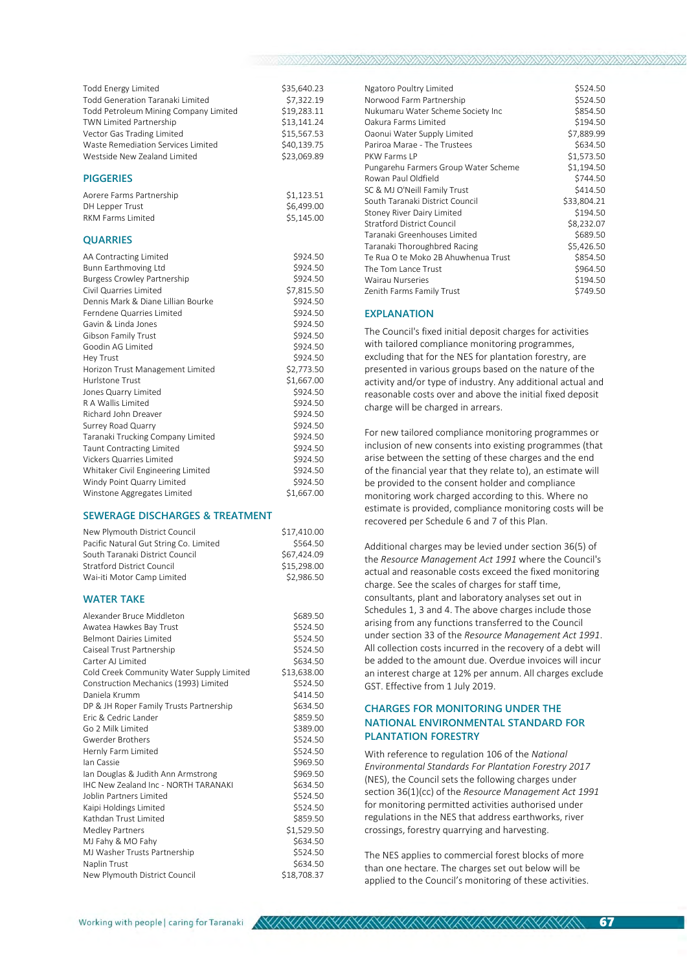| Todd Energy Limited<br><b>Todd Generation Taranaki Limited</b><br>Todd Petroleum Mining Company Limited<br><b>TWN Limited Partnership</b><br>Vector Gas Trading Limited<br>Waste Remediation Services Limited<br>Westside New Zealand Limited | \$35,640.23<br>\$7,322.19<br>\$19,283.11<br>\$13,141.24<br>\$15,567.53<br>\$40,139.75<br>\$23,069.89 |
|-----------------------------------------------------------------------------------------------------------------------------------------------------------------------------------------------------------------------------------------------|------------------------------------------------------------------------------------------------------|
| <b>PIGGERIES</b>                                                                                                                                                                                                                              |                                                                                                      |
| Aorere Farms Partnership<br>DH Lepper Trust<br><b>RKM Farms Limited</b>                                                                                                                                                                       | \$1,123.51<br>\$6,499.00<br>\$5,145.00                                                               |
| <b>QUARRIES</b>                                                                                                                                                                                                                               |                                                                                                      |
| AA Contracting Limited                                                                                                                                                                                                                        | \$924.50                                                                                             |
| Bunn Earthmoving Ltd                                                                                                                                                                                                                          | \$924.50                                                                                             |
| <b>Burgess Crowley Partnership</b>                                                                                                                                                                                                            | \$924.50                                                                                             |
| Civil Quarries Limited                                                                                                                                                                                                                        | \$7,815.50                                                                                           |
| Dennis Mark & Diane Lillian Bourke                                                                                                                                                                                                            | \$924.50                                                                                             |
| Ferndene Quarries Limited                                                                                                                                                                                                                     | \$924.50                                                                                             |
| Gavin & Linda Jones                                                                                                                                                                                                                           | \$924.50                                                                                             |
| <b>Gibson Family Trust</b>                                                                                                                                                                                                                    | \$924.50                                                                                             |
| Goodin AG Limited                                                                                                                                                                                                                             | \$924.50                                                                                             |
| Hey Trust                                                                                                                                                                                                                                     | \$924.50                                                                                             |
| Horizon Trust Management Limited                                                                                                                                                                                                              | \$2,773.50                                                                                           |
| Hurlstone Trust                                                                                                                                                                                                                               | \$1,667.00                                                                                           |
| Jones Quarry Limited                                                                                                                                                                                                                          | \$924.50                                                                                             |
| R A Wallis Limited                                                                                                                                                                                                                            | \$924.50                                                                                             |
| <b>Richard John Dreaver</b>                                                                                                                                                                                                                   | \$924.50                                                                                             |
| Surrey Road Quarry                                                                                                                                                                                                                            | \$924.50                                                                                             |
| Taranaki Trucking Company Limited                                                                                                                                                                                                             | \$924.50                                                                                             |
| <b>Taunt Contracting Limited</b>                                                                                                                                                                                                              | \$924.50                                                                                             |
| <b>Vickers Quarries Limited</b>                                                                                                                                                                                                               | \$924.50                                                                                             |
| Whitaker Civil Engineering Limited                                                                                                                                                                                                            | \$924.50                                                                                             |
| Windy Point Quarry Limited                                                                                                                                                                                                                    | \$924.50                                                                                             |
| Winstone Aggregates Limited                                                                                                                                                                                                                   | \$1,667.00                                                                                           |

#### **SEWERAGE DISCHARGES & TREATMENT**

| New Plymouth District Council          | \$17.410.00 |
|----------------------------------------|-------------|
| Pacific Natural Gut String Co. Limited | \$564.50    |
| South Taranaki District Council        | \$67.424.09 |
| <b>Stratford District Council</b>      | \$15,298.00 |
| Wai-iti Motor Camp Limited             | \$2.986.50  |

#### **WATER TAKE**

| Alexander Bruce Middleton                   | \$689.50    |
|---------------------------------------------|-------------|
| Awatea Hawkes Bay Trust                     | \$524.50    |
| <b>Belmont Dairies Limited</b>              | \$524.50    |
| Caiseal Trust Partnership                   | \$524.50    |
| Carter Allimited                            | \$634.50    |
| Cold Creek Community Water Supply Limited   | \$13,638.00 |
| Construction Mechanics (1993) Limited       | \$524.50    |
| Daniela Krumm                               | \$414.50    |
| DP & JH Roper Family Trusts Partnership     | \$634.50    |
| Fric & Cedric Lander                        | \$859.50    |
| Go 2 Milk Limited                           | \$389.00    |
| Gwerder Brothers                            | \$524.50    |
| Hernly Farm Limited                         | \$524.50    |
| lan Cassie                                  | \$969.50    |
| Ian Douglas & Judith Ann Armstrong          | \$969.50    |
| <b>IHC New Zealand Inc - NORTH TARANAKI</b> | \$634.50    |
| Joblin Partners Limited                     | \$524.50    |
| Kaipi Holdings Limited                      | \$524.50    |
| Kathdan Trust Limited                       | \$859.50    |
| Medley Partners                             | \$1,529.50  |
| MJ Fahy & MO Fahy                           | \$634.50    |
| MJ Washer Trusts Partnership                | \$524.50    |
| Naplin Trust                                | \$634.50    |
| New Plymouth District Council               | \$18,708.37 |

| Ngatoro Poultry Limited              | \$524.50    |
|--------------------------------------|-------------|
| Norwood Farm Partnership             | \$524.50    |
| Nukumaru Water Scheme Society Inc    | \$854.50    |
| Oakura Farms Limited                 | \$194.50    |
| Oaonui Water Supply Limited          | \$7,889.99  |
| Pariroa Marae - The Trustees         | \$634.50    |
| PKW Farms I P                        | \$1,573.50  |
| Pungarehu Farmers Group Water Scheme | \$1,194.50  |
| Rowan Paul Oldfield                  | \$744.50    |
| SC & MJ O'Neill Family Trust         | \$414.50    |
| South Taranaki District Council      | \$33,804.21 |
| Stoney River Dairy Limited           | \$194.50    |
| <b>Stratford District Council</b>    | \$8,232.07  |
| Taranaki Greenhouses Limited         | \$689.50    |
| Taranaki Thoroughbred Racing         | \$5,426.50  |
| Te Rua O te Moko 2B Ahuwhenua Trust  | \$854.50    |
| The Tom Lance Trust                  | \$964.50    |
| <b>Wairau Nurseries</b>              | \$194.50    |
| Zenith Farms Family Trust            | \$749.50    |

#### **EXPLANATION**

72YA VA VANANANA VANANA VANANA VANANA VANANA

The Council's fixed initial deposit charges for activities with tailored compliance monitoring programmes, excluding that for the NES for plantation forestry, are presented in various groups based on the nature of the activity and/or type of industry. Any additional actual and reasonable costs over and above the initial fixed deposit charge will be charged in arrears.

For new tailored compliance monitoring programmes or inclusion of new consents into existing programmes (that arise between the setting of these charges and the end of the financial year that they relate to), an estimate will be provided to the consent holder and compliance monitoring work charged according to this. Where no estimate is provided, compliance monitoring costs will be recovered per Schedule 6 and 7 of this Plan.

Additional charges may be levied under section 36(5) of the *Resource Management Act 1991* where the Council's actual and reasonable costs exceed the fixed monitoring charge. See the scales of charges for staff time, consultants, plant and laboratory analyses set out in Schedules 1, 3 and 4. The above charges include those arising from any functions transferred to the Council under section 33 of the *Resource Management Act 1991*. All collection costs incurred in the recovery of a debt will be added to the amount due. Overdue invoices will incur an interest charge at 12% per annum. All charges exclude GST. Effective from 1 July 2019.

#### **CHARGES FOR MONITORING UNDER THE NATIONAL ENVIRONMENTAL STANDARD FOR PLANTATION FORESTRY**

With reference to regulation 106 of the *National Environmental Standards For Plantation Forestry 2017* (NES), the Council sets the following charges under section 36(1)(cc) of the *Resource Management Act 1991* for monitoring permitted activities authorised under regulations in the NES that address earthworks, river crossings, forestry quarrying and harvesting.

The NES applies to commercial forest blocks of more than one hectare. The charges set out below will be applied to the Council's monitoring of these activities.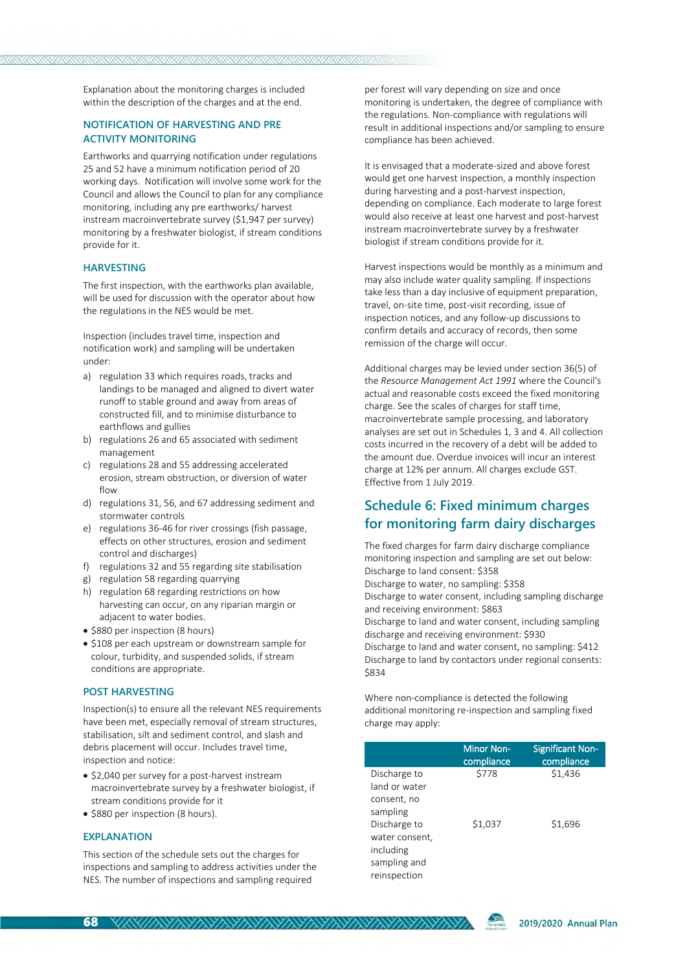Explanation about the monitoring charges is included within the description of the charges and at the end.

#### **NOTIFICATION OF HARVESTING AND PRE ACTIVITY MONITORING**

Earthworks and quarrying notification under regulations 25 and 52 have a minimum notification period of 20 working days. Notification will involve some work for the Council and allows the Council to plan for any compliance monitoring, including any pre earthworks/ harvest instream macroinvertebrate survey (\$1,947 per survey) monitoring by a freshwater biologist, if stream conditions provide for it.

#### **HARVESTING**

The first inspection, with the earthworks plan available, will be used for discussion with the operator about how the regulations in the NES would be met.

Inspection (includes travel time, inspection and notification work) and sampling will be undertaken under:

- a) regulation 33 which requires roads, tracks and landings to be managed and aligned to divert water runoff to stable ground and away from areas of constructed fill, and to minimise disturbance to earthflows and gullies
- b) regulations 26 and 65 associated with sediment management
- c) regulations 28 and 55 addressing accelerated erosion, stream obstruction, or diversion of water  $f|_{\bigcap M}$
- d) regulations 31, 56, and 67 addressing sediment and stormwater controls
- e) regulations 36-46 for river crossings (fish passage, effects on other structures, erosion and sediment control and discharges)
- f) regulations 32 and 55 regarding site stabilisation
- g) regulation 58 regarding quarrying
- h) regulation 68 regarding restrictions on how harvesting can occur, on any riparian margin or adjacent to water bodies.
- \$880 per inspection (8 hours)
- \$108 per each upstream or downstream sample for colour, turbidity, and suspended solids, if stream conditions are appropriate.

#### **POST HARVESTING**

Inspection(s) to ensure all the relevant NES requirements have been met, especially removal of stream structures, stabilisation, silt and sediment control, and slash and debris placement will occur. Includes travel time, inspection and notice:

- \$2,040 per survey for a post-harvest instream macroinvertebrate survey by a freshwater biologist, if stream conditions provide for it
- \$880 per inspection (8 hours).

#### **EXPLANATION**

This section of the schedule sets out the charges for inspections and sampling to address activities under the NES. The number of inspections and sampling required

per forest will vary depending on size and once monitoring is undertaken, the degree of compliance with the regulations. Non-compliance with regulations will result in additional inspections and/or sampling to ensure compliance has been achieved.

It is envisaged that a moderate-sized and above forest would get one harvest inspection, a monthly inspection during harvesting and a post-harvest inspection, depending on compliance. Each moderate to large forest would also receive at least one harvest and post-harvest instream macroinvertebrate survey by a freshwater biologist if stream conditions provide for it.

Harvest inspections would be monthly as a minimum and may also include water quality sampling. If inspections take less than a day inclusive of equipment preparation, travel, on-site time, post-visit recording, issue of inspection notices, and any follow-up discussions to confirm details and accuracy of records, then some remission of the charge will occur.

Additional charges may be levied under section 36(5) of the *Resource Management Act 1991* where the Council's actual and reasonable costs exceed the fixed monitoring charge. See the scales of charges for staff time, macroinvertebrate sample processing, and laboratory analyses are set out in Schedules 1, 3 and 4. All collection costs incurred in the recovery of a debt will be added to the amount due. Overdue invoices will incur an interest charge at 12% per annum. All charges exclude GST. Effective from 1 July 2019.

### **Schedule 6: Fixed minimum charges for monitoring farm dairy discharges**

The fixed charges for farm dairy discharge compliance monitoring inspection and sampling are set out below: Discharge to land consent: \$358

Discharge to water, no sampling: \$358

Discharge to water consent, including sampling discharge and receiving environment: \$863

Discharge to land and water consent, including sampling discharge and receiving environment: \$930

Discharge to land and water consent, no sampling: \$412 Discharge to land by contactors under regional consents: \$834

Where non-compliance is detected the following additional monitoring re-inspection and sampling fixed charge may apply:

|                | <b>Minor Non-</b><br>compliance | <b>Significant Non-</b><br>compliance |
|----------------|---------------------------------|---------------------------------------|
| Discharge to   | \$778                           | \$1,436                               |
| land or water  |                                 |                                       |
| consent, no    |                                 |                                       |
| sampling       |                                 |                                       |
| Discharge to   | \$1,037                         | \$1,696                               |
| water consent, |                                 |                                       |
| including      |                                 |                                       |
| sampling and   |                                 |                                       |
| reinspection   |                                 |                                       |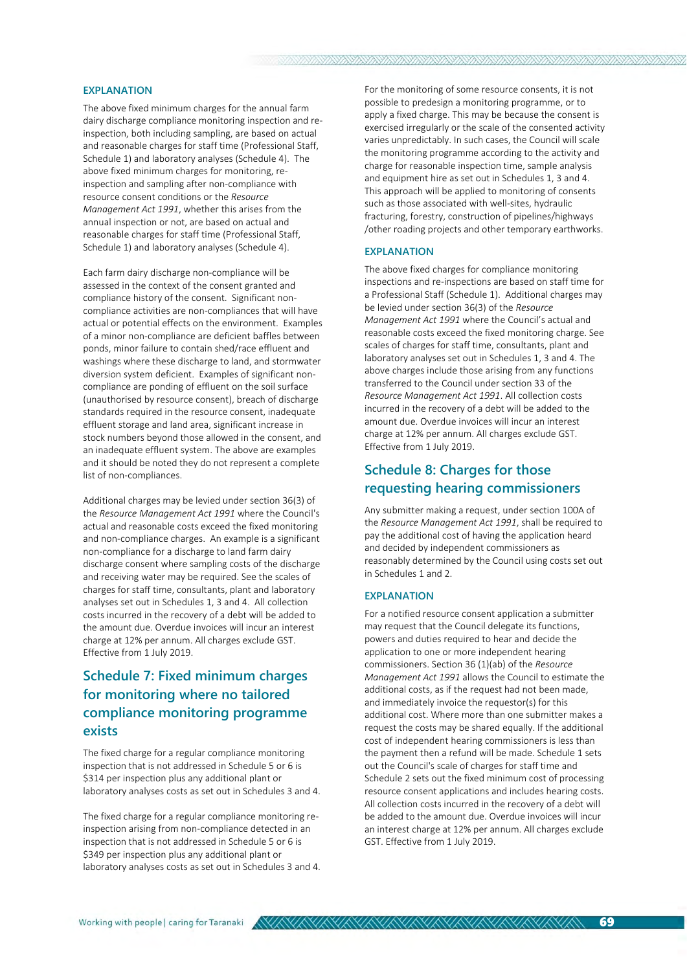#### **EXPLANATION**

The above fixed minimum charges for the annual farm dairy discharge compliance monitoring inspection and reinspection, both including sampling, are based on actual and reasonable charges for staff time (Professional Staff, Schedule 1) and laboratory analyses (Schedule 4). The above fixed minimum charges for monitoring, reinspection and sampling after non-compliance with resource consent conditions or the *Resource Management Act 1991*, whether this arises from the annual inspection or not, are based on actual and reasonable charges for staff time (Professional Staff, Schedule 1) and laboratory analyses (Schedule 4).

Each farm dairy discharge non-compliance will be assessed in the context of the consent granted and compliance history of the consent. Significant noncompliance activities are non-compliances that will have actual or potential effects on the environment. Examples of a minor non-compliance are deficient baffles between ponds, minor failure to contain shed/race effluent and washings where these discharge to land, and stormwater diversion system deficient. Examples of significant noncompliance are ponding of effluent on the soil surface (unauthorised by resource consent), breach of discharge standards required in the resource consent, inadequate effluent storage and land area, significant increase in stock numbers beyond those allowed in the consent, and an inadequate effluent system. The above are examples and it should be noted they do not represent a complete list of non-compliances.

Additional charges may be levied under section 36(3) of the *Resource Management Act 1991* where the Council's actual and reasonable costs exceed the fixed monitoring and non-compliance charges. An example is a significant non-compliance for a discharge to land farm dairy discharge consent where sampling costs of the discharge and receiving water may be required. See the scales of charges for staff time, consultants, plant and laboratory analyses set out in Schedules 1, 3 and 4. All collection costs incurred in the recovery of a debt will be added to the amount due. Overdue invoices will incur an interest charge at 12% per annum. All charges exclude GST. Effective from 1 July 2019.

# **Schedule 7: Fixed minimum charges for monitoring where no tailored compliance monitoring programme exists**

The fixed charge for a regular compliance monitoring inspection that is not addressed in Schedule 5 or 6 is \$314 per inspection plus any additional plant or laboratory analyses costs as set out in Schedules 3 and 4.

The fixed charge for a regular compliance monitoring reinspection arising from non-compliance detected in an inspection that is not addressed in Schedule 5 or 6 is \$349 per inspection plus any additional plant or laboratory analyses costs as set out in Schedules 3 and 4. For the monitoring of some resource consents, it is not possible to predesign a monitoring programme, or to apply a fixed charge. This may be because the consent is exercised irregularly or the scale of the consented activity varies unpredictably. In such cases, the Council will scale the monitoring programme according to the activity and charge for reasonable inspection time, sample analysis and equipment hire as set out in Schedules 1, 3 and 4. This approach will be applied to monitoring of consents such as those associated with well-sites, hydraulic fracturing, forestry, construction of pipelines/highways /other roading projects and other temporary earthworks.

#### **EXPLANATION**

AYAYAYAYAYA

The above fixed charges for compliance monitoring inspections and re-inspections are based on staff time for a Professional Staff (Schedule 1). Additional charges may be levied under section 36(3) of the *Resource Management Act 1991* where the Council's actual and reasonable costs exceed the fixed monitoring charge. See scales of charges for staff time, consultants, plant and laboratory analyses set out in Schedules 1, 3 and 4. The above charges include those arising from any functions transferred to the Council under section 33 of the *Resource Management Act 1991*. All collection costs incurred in the recovery of a debt will be added to the amount due. Overdue invoices will incur an interest charge at 12% per annum. All charges exclude GST. Effective from 1 July 2019.

### **Schedule 8: Charges for those requesting hearing commissioners**

Any submitter making a request, under section 100A of the *Resource Management Act 1991*, shall be required to pay the additional cost of having the application heard and decided by independent commissioners as reasonably determined by the Council using costs set out in Schedules 1 and 2.

#### **EXPLANATION**

For a notified resource consent application a submitter may request that the Council delegate its functions, powers and duties required to hear and decide the application to one or more independent hearing commissioners. Section 36 (1)(ab) of the *Resource Management Act 1991* allows the Council to estimate the additional costs, as if the request had not been made, and immediately invoice the requestor(s) for this additional cost. Where more than one submitter makes a request the costs may be shared equally. If the additional cost of independent hearing commissioners is less than the payment then a refund will be made. Schedule 1 sets out the Council's scale of charges for staff time and Schedule 2 sets out the fixed minimum cost of processing resource consent applications and includes hearing costs. All collection costs incurred in the recovery of a debt will be added to the amount due. Overdue invoices will incur an interest charge at 12% per annum. All charges exclude GST. Effective from 1 July 2019.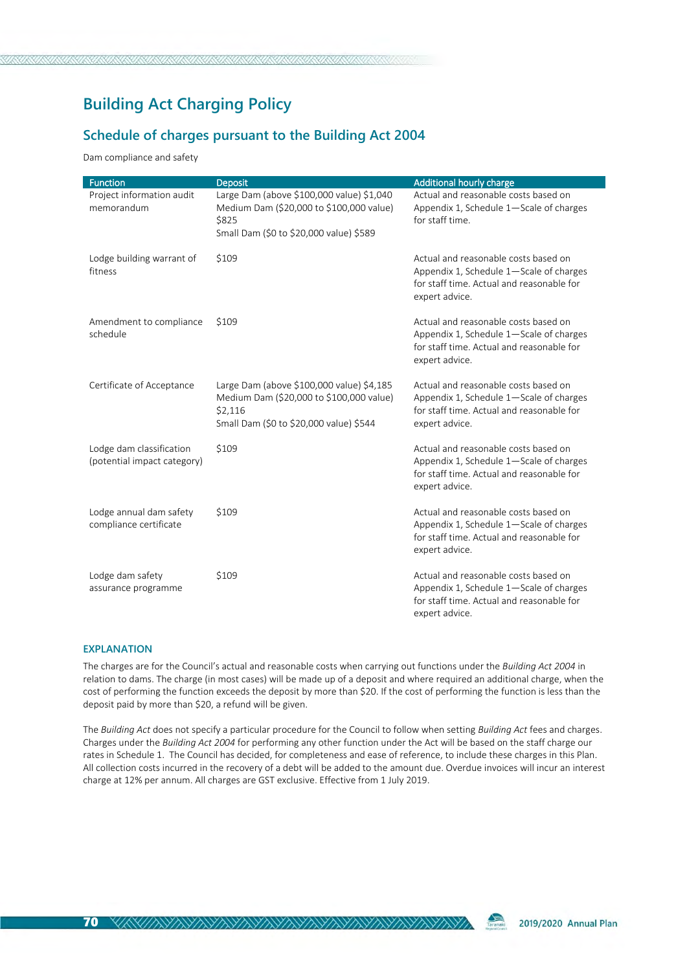# **Building Act Charging Policy**

### **Schedule of charges pursuant to the Building Act 2004**

Dam compliance and safety

| <b>Function</b>                                         | <b>Deposit</b>                                                                                                                              | Additional hourly charge                                                                                                                       |
|---------------------------------------------------------|---------------------------------------------------------------------------------------------------------------------------------------------|------------------------------------------------------------------------------------------------------------------------------------------------|
| Project information audit<br>memorandum                 | Large Dam (above \$100,000 value) \$1,040<br>Medium Dam (\$20,000 to \$100,000 value)<br>\$825<br>Small Dam (\$0 to \$20,000 value) \$589   | Actual and reasonable costs based on<br>Appendix 1, Schedule 1-Scale of charges<br>for staff time.                                             |
| Lodge building warrant of<br>fitness                    | \$109                                                                                                                                       | Actual and reasonable costs based on<br>Appendix 1, Schedule 1-Scale of charges<br>for staff time. Actual and reasonable for<br>expert advice. |
| Amendment to compliance<br>schedule                     | \$109                                                                                                                                       | Actual and reasonable costs based on<br>Appendix 1, Schedule 1-Scale of charges<br>for staff time. Actual and reasonable for<br>expert advice. |
| Certificate of Acceptance                               | Large Dam (above \$100,000 value) \$4,185<br>Medium Dam (\$20,000 to \$100,000 value)<br>\$2,116<br>Small Dam (\$0 to \$20,000 value) \$544 | Actual and reasonable costs based on<br>Appendix 1, Schedule 1-Scale of charges<br>for staff time. Actual and reasonable for<br>expert advice. |
| Lodge dam classification<br>(potential impact category) | \$109                                                                                                                                       | Actual and reasonable costs based on<br>Appendix 1, Schedule 1-Scale of charges<br>for staff time. Actual and reasonable for<br>expert advice. |
| Lodge annual dam safety<br>compliance certificate       | \$109                                                                                                                                       | Actual and reasonable costs based on<br>Appendix 1, Schedule 1-Scale of charges<br>for staff time. Actual and reasonable for<br>expert advice. |
| Lodge dam safety<br>assurance programme                 | \$109                                                                                                                                       | Actual and reasonable costs based on<br>Appendix 1, Schedule 1-Scale of charges<br>for staff time. Actual and reasonable for<br>expert advice. |

#### **EXPLANATION**

The charges are for the Council's actual and reasonable costs when carrying out functions under the *Building Act 2004* in relation to dams. The charge (in most cases) will be made up of a deposit and where required an additional charge, when the cost of performing the function exceeds the deposit by more than \$20. If the cost of performing the function is less than the deposit paid by more than \$20, a refund will be given.

The *Building Act* does not specify a particular procedure for the Council to follow when setting *Building Act* fees and charges. Charges under the *Building Act 2004* for performing any other function under the Act will be based on the staff charge our rates in Schedule 1. The Council has decided, for completeness and ease of reference, to include these charges in this Plan. All collection costs incurred in the recovery of a debt will be added to the amount due. Overdue invoices will incur an interest charge at 12% per annum. All charges are GST exclusive. Effective from 1 July 2019.

Taranaki 2019/2020 Annual Plan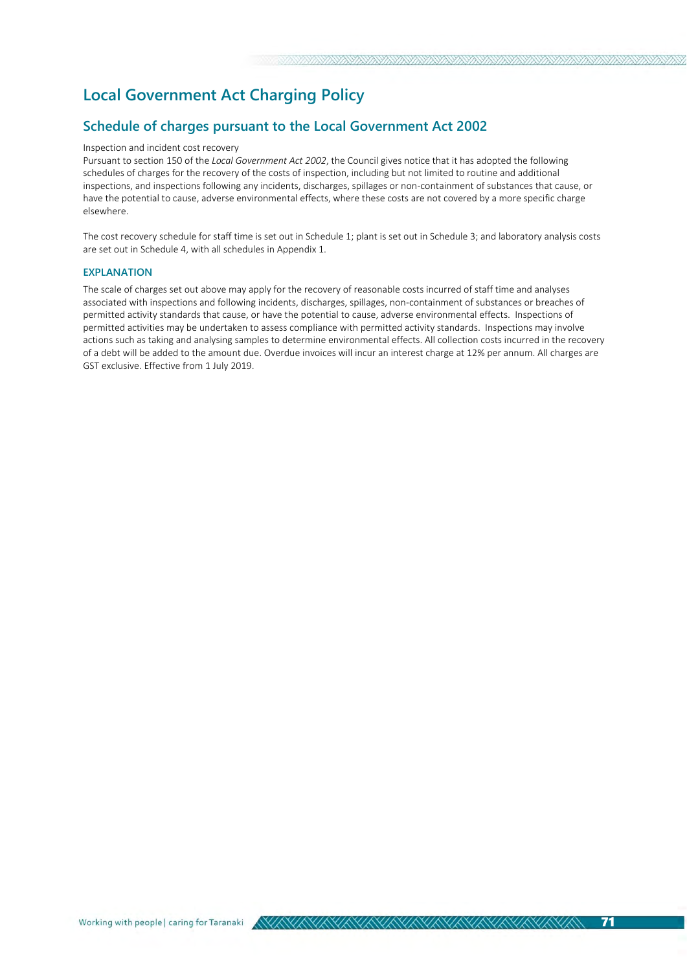# **Local Government Act Charging Policy**

### **Schedule of charges pursuant to the Local Government Act 2002**

#### Inspection and incident cost recovery

Pursuant to section 150 of the *Local Government Act 2002*, the Council gives notice that it has adopted the following schedules of charges for the recovery of the costs of inspection, including but not limited to routine and additional inspections, and inspections following any incidents, discharges, spillages or non-containment of substances that cause, or have the potential to cause, adverse environmental effects, where these costs are not covered by a more specific charge elsewhere.

The cost recovery schedule for staff time is set out in Schedule 1; plant is set out in Schedule 3; and laboratory analysis costs are set out in Schedule 4, with all schedules in Appendix 1.

#### **EXPLANATION**

The scale of charges set out above may apply for the recovery of reasonable costs incurred of staff time and analyses associated with inspections and following incidents, discharges, spillages, non-containment of substances or breaches of permitted activity standards that cause, or have the potential to cause, adverse environmental effects. Inspections of permitted activities may be undertaken to assess compliance with permitted activity standards. Inspections may involve actions such as taking and analysing samples to determine environmental effects. All collection costs incurred in the recovery of a debt will be added to the amount due. Overdue invoices will incur an interest charge at 12% per annum. All charges are GST exclusive. Effective from 1 July 2019.